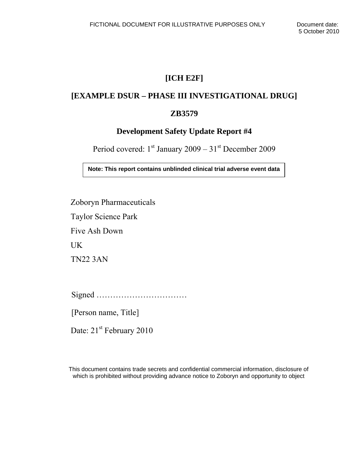# **[ICH E2F]**

# **[EXAMPLE DSUR – PHASE III INVESTIGATIONAL DRUG]**

# **ZB3579**

# **Development Safety Update Report #4**

Period covered:  $1^{st}$  January 2009 –  $31^{st}$  December 2009

**Note: This report contains unblinded clinical trial adverse event data** 

Zoboryn Pharmaceuticals

Taylor Science Park

Five Ash Down

UK

TN22 3AN

Signed ……………………………

[Person name, Title]

Date: 21<sup>st</sup> February 2010

This document contains trade secrets and confidential commercial information, disclosure of which is prohibited without providing advance notice to Zoboryn and opportunity to object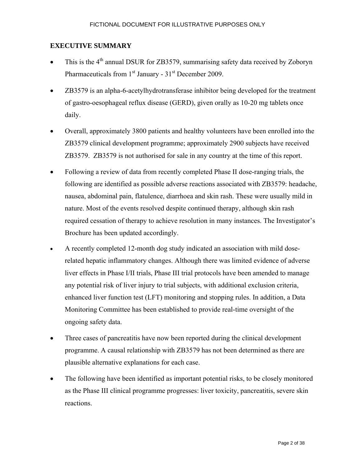## **EXECUTIVE SUMMARY**

- This is the  $4<sup>th</sup>$  annual DSUR for ZB3579, summarising safety data received by Zoboryn Pharmaceuticals from  $1<sup>st</sup>$  January - 31 $<sup>st</sup>$  December 2009.</sup>
- ZB3579 is an alpha-6-acetylhydrotransferase inhibitor being developed for the treatment of gastro-oesophageal reflux disease (GERD), given orally as 10-20 mg tablets once daily.
- Overall, approximately 3800 patients and healthy volunteers have been enrolled into the ZB3579 clinical development programme; approximately 2900 subjects have received ZB3579. ZB3579 is not authorised for sale in any country at the time of this report.
- Following a review of data from recently completed Phase II dose-ranging trials, the following are identified as possible adverse reactions associated with ZB3579: headache, nausea, abdominal pain, flatulence, diarrhoea and skin rash. These were usually mild in nature. Most of the events resolved despite continued therapy, although skin rash required cessation of therapy to achieve resolution in many instances. The Investigator's Brochure has been updated accordingly.
- A recently completed 12-month dog study indicated an association with mild doserelated hepatic inflammatory changes. Although there was limited evidence of adverse liver effects in Phase I/II trials, Phase III trial protocols have been amended to manage any potential risk of liver injury to trial subjects, with additional exclusion criteria, enhanced liver function test (LFT) monitoring and stopping rules. In addition, a Data Monitoring Committee has been established to provide real-time oversight of the ongoing safety data.
- Three cases of pancreatitis have now been reported during the clinical development programme. A causal relationship with ZB3579 has not been determined as there are plausible alternative explanations for each case.
- The following have been identified as important potential risks, to be closely monitored as the Phase III clinical programme progresses: liver toxicity, pancreatitis, severe skin reactions.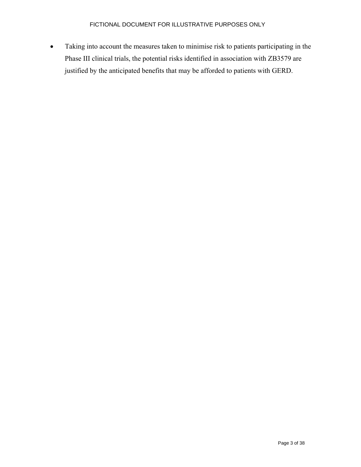• Taking into account the measures taken to minimise risk to patients participating in the Phase III clinical trials, the potential risks identified in association with ZB3579 are justified by the anticipated benefits that may be afforded to patients with GERD.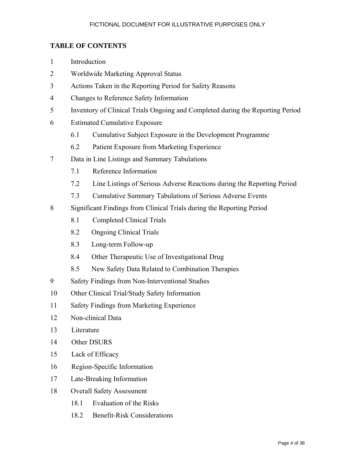## **TABLE OF CONTENTS**

- 1 Introduction
- 2 Worldwide Marketing Approval Status
- 3 Actions Taken in the Reporting Period for Safety Reasons
- 4 Changes to Reference Safety Information
- 5 Inventory of Clinical Trials Ongoing and Completed during the Reporting Period
- 6 Estimated Cumulative Exposure
	- 6.1 Cumulative Subject Exposure in the Development Programme
	- 6.2 Patient Exposure from Marketing Experience
- 7 Data in Line Listings and Summary Tabulations
	- 7.1 Reference Information
	- 7.2 Line Listings of Serious Adverse Reactions during the Reporting Period
	- 7.3 Cumulative Summary Tabulations of Serious Adverse Events
- 8 Significant Findings from Clinical Trials during the Reporting Period
	- 8.1 Completed Clinical Trials
	- 8.2 Ongoing Clinical Trials
	- 8.3 Long-term Follow-up
	- 8.4 Other Therapeutic Use of Investigational Drug
	- 8.5 New Safety Data Related to Combination Therapies
- 9 Safety Findings from Non-Interventional Studies
- 10 Other Clinical Trial/Study Safety Information
- 11 Safety Findings from Marketing Experience
- 12 Non-clinical Data
- 13 Literature
- 14 Other DSURS
- 15 Lack of Efficacy
- 16 Region-Specific Information
- 17 Late-Breaking Information
- 18 Overall Safety Assessment
	- 18.1 Evaluation of the Risks
	- 18.2 Benefit-Risk Considerations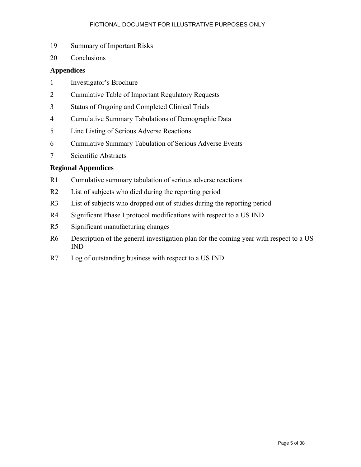- 19 Summary of Important Risks
- 20 Conclusions

#### **Appendices**

- 1 Investigator's Brochure
- 2 Cumulative Table of Important Regulatory Requests
- 3 Status of Ongoing and Completed Clinical Trials
- 4 Cumulative Summary Tabulations of Demographic Data
- 5 Line Listing of Serious Adverse Reactions
- 6 Cumulative Summary Tabulation of Serious Adverse Events
- 7 Scientific Abstracts

## **Regional Appendices**

- R1 Cumulative summary tabulation of serious adverse reactions
- R2 List of subjects who died during the reporting period
- R3 List of subjects who dropped out of studies during the reporting period
- R4 Significant Phase I protocol modifications with respect to a US IND
- R5 Significant manufacturing changes
- R6 Description of the general investigation plan for the coming year with respect to a US IND
- R7 Log of outstanding business with respect to a US IND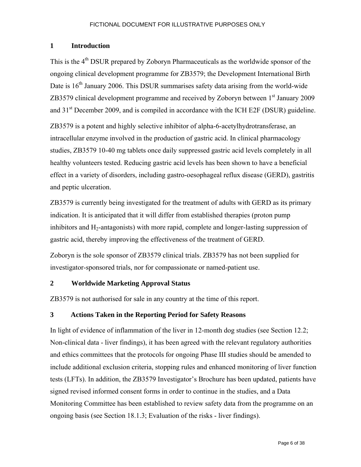#### **1 Introduction**

This is the 4<sup>th</sup> DSUR prepared by Zoboryn Pharmaceuticals as the worldwide sponsor of the ongoing clinical development programme for ZB3579; the Development International Birth Date is  $16<sup>th</sup>$  January 2006. This DSUR summarises safety data arising from the world-wide ZB3579 clinical development programme and received by Zoboryn between 1st January 2009 and 31<sup>st</sup> December 2009, and is compiled in accordance with the ICH E2F (DSUR) guideline.

ZB3579 is a potent and highly selective inhibitor of alpha-6-acetylhydrotransferase, an intracellular enzyme involved in the production of gastric acid. In clinical pharmacology studies, ZB3579 10-40 mg tablets once daily suppressed gastric acid levels completely in all healthy volunteers tested. Reducing gastric acid levels has been shown to have a beneficial effect in a variety of disorders, including gastro-oesophageal reflux disease (GERD), gastritis and peptic ulceration.

ZB3579 is currently being investigated for the treatment of adults with GERD as its primary indication. It is anticipated that it will differ from established therapies (proton pump inhibitors and  $H_2$ -antagonists) with more rapid, complete and longer-lasting suppression of gastric acid, thereby improving the effectiveness of the treatment of GERD.

Zoboryn is the sole sponsor of ZB3579 clinical trials. ZB3579 has not been supplied for investigator-sponsored trials, nor for compassionate or named-patient use.

## **2 Worldwide Marketing Approval Status**

ZB3579 is not authorised for sale in any country at the time of this report.

## **3 Actions Taken in the Reporting Period for Safety Reasons**

In light of evidence of inflammation of the liver in 12-month dog studies (see Section 12.2; Non-clinical data - liver findings), it has been agreed with the relevant regulatory authorities and ethics committees that the protocols for ongoing Phase III studies should be amended to include additional exclusion criteria, stopping rules and enhanced monitoring of liver function tests (LFTs). In addition, the ZB3579 Investigator's Brochure has been updated, patients have signed revised informed consent forms in order to continue in the studies, and a Data Monitoring Committee has been established to review safety data from the programme on an ongoing basis (see Section 18.1.3; Evaluation of the risks - liver findings).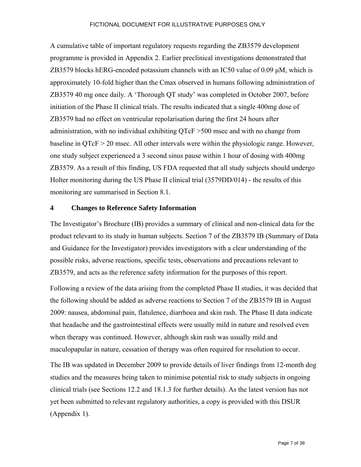A cumulative table of important regulatory requests regarding the ZB3579 development programme is provided in Appendix 2. Earlier preclinical investigations demonstrated that  $ZB3579$  blocks hERG-encoded potassium channels with an IC50 value of 0.09  $\mu$ M, which is approximately 10-fold higher than the Cmax observed in humans following administration of ZB3579 40 mg once daily. A 'Thorough QT study' was completed in October 2007, before initiation of the Phase II clinical trials. The results indicated that a single 400mg dose of ZB3579 had no effect on ventricular repolarisation during the first 24 hours after administration, with no individual exhibiting QTcF >500 msec and with no change from baseline in QTcF > 20 msec. All other intervals were within the physiologic range. However, one study subject experienced a 3 second sinus pause within 1 hour of dosing with 400mg ZB3579. As a result of this finding, US FDA requested that all study subjects should undergo Holter monitoring during the US Phase II clinical trial (3579DD/014) - the results of this monitoring are summarised in Section 8.1.

#### **4 Changes to Reference Safety Information**

The Investigator's Brochure (IB) provides a summary of clinical and non-clinical data for the product relevant to its study in human subjects. Section 7 of the ZB3579 IB (Summary of Data and Guidance for the Investigator) provides investigators with a clear understanding of the possible risks, adverse reactions, specific tests, observations and precautions relevant to ZB3579, and acts as the reference safety information for the purposes of this report.

Following a review of the data arising from the completed Phase II studies, it was decided that the following should be added as adverse reactions to Section 7 of the ZB3579 IB in August 2009: nausea, abdominal pain, flatulence, diarrhoea and skin rash. The Phase II data indicate that headache and the gastrointestinal effects were usually mild in nature and resolved even when therapy was continued. However, although skin rash was usually mild and maculopapular in nature, cessation of therapy was often required for resolution to occur.

The IB was updated in December 2009 to provide details of liver findings from 12-month dog studies and the measures being taken to minimise potential risk to study subjects in ongoing clinical trials (see Sections 12.2 and 18.1.3 for further details). As the latest version has not yet been submitted to relevant regulatory authorities, a copy is provided with this DSUR (Appendix 1).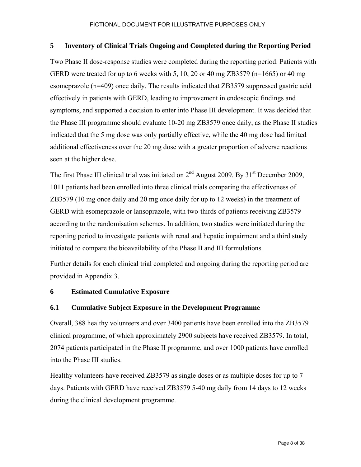#### **5 Inventory of Clinical Trials Ongoing and Completed during the Reporting Period**

Two Phase II dose-response studies were completed during the reporting period. Patients with GERD were treated for up to 6 weeks with 5, 10, 20 or 40 mg ZB3579 (n=1665) or 40 mg esomeprazole (n=409) once daily. The results indicated that ZB3579 suppressed gastric acid effectively in patients with GERD, leading to improvement in endoscopic findings and symptoms, and supported a decision to enter into Phase III development. It was decided that the Phase III programme should evaluate 10-20 mg ZB3579 once daily, as the Phase II studies indicated that the 5 mg dose was only partially effective, while the 40 mg dose had limited additional effectiveness over the 20 mg dose with a greater proportion of adverse reactions seen at the higher dose.

The first Phase III clinical trial was initiated on  $2<sup>nd</sup>$  August 2009. By 31<sup>st</sup> December 2009, 1011 patients had been enrolled into three clinical trials comparing the effectiveness of ZB3579 (10 mg once daily and 20 mg once daily for up to 12 weeks) in the treatment of GERD with esomeprazole or lansoprazole, with two-thirds of patients receiving ZB3579 according to the randomisation schemes. In addition, two studies were initiated during the reporting period to investigate patients with renal and hepatic impairment and a third study initiated to compare the bioavailability of the Phase II and III formulations.

Further details for each clinical trial completed and ongoing during the reporting period are provided in Appendix 3.

## **6 Estimated Cumulative Exposure**

## **6.1 Cumulative Subject Exposure in the Development Programme**

Overall, 388 healthy volunteers and over 3400 patients have been enrolled into the ZB3579 clinical programme, of which approximately 2900 subjects have received ZB3579. In total, 2074 patients participated in the Phase II programme, and over 1000 patients have enrolled into the Phase III studies.

Healthy volunteers have received ZB3579 as single doses or as multiple doses for up to 7 days. Patients with GERD have received ZB3579 5-40 mg daily from 14 days to 12 weeks during the clinical development programme.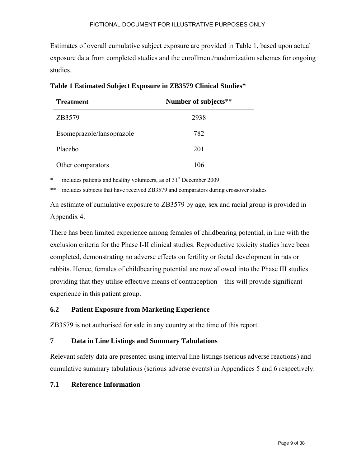Estimates of overall cumulative subject exposure are provided in Table 1, based upon actual exposure data from completed studies and the enrollment/randomization schemes for ongoing studies.

| <b>Treatment</b>          | Number of subjects** |
|---------------------------|----------------------|
| ZB3579                    | 2938                 |
| Esomeprazole/lansoprazole | 782                  |
| Placebo                   | 201                  |
| Other comparators         | 106                  |

## **Table 1 Estimated Subject Exposure in ZB3579 Clinical Studies\***

includes patients and healthy volunteers, as of  $31<sup>st</sup>$  December 2009

\*\* includes subjects that have received ZB3579 and comparators during crossover studies

An estimate of cumulative exposure to ZB3579 by age, sex and racial group is provided in Appendix 4.

There has been limited experience among females of childbearing potential, in line with the exclusion criteria for the Phase I-II clinical studies. Reproductive toxicity studies have been completed, demonstrating no adverse effects on fertility or foetal development in rats or rabbits. Hence, females of childbearing potential are now allowed into the Phase III studies providing that they utilise effective means of contraception – this will provide significant experience in this patient group.

## **6.2 Patient Exposure from Marketing Experience**

ZB3579 is not authorised for sale in any country at the time of this report.

## **7 Data in Line Listings and Summary Tabulations**

Relevant safety data are presented using interval line listings (serious adverse reactions) and cumulative summary tabulations (serious adverse events) in Appendices 5 and 6 respectively.

## **7.1 Reference Information**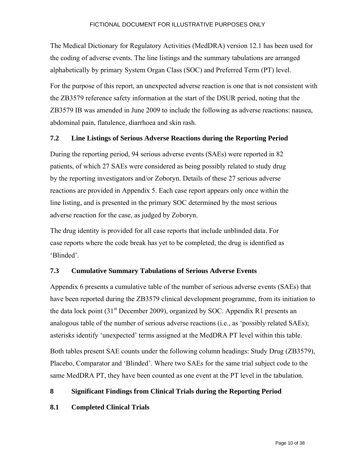The Medical Dictionary for Regulatory Activities (MedDRA) version 12.1 has been used for the coding of adverse events. The line listings and the summary tabulations are arranged alphabetically by primary System Organ Class (SOC) and Preferred Term (PT) level.

For the purpose of this report, an unexpected adverse reaction is one that is not consistent with the ZB3579 reference safety information at the start of the DSUR period, noting that the ZB3579 IB was amended in June 2009 to include the following as adverse reactions: nausea, abdominal pain, flatulence, diarrhoea and skin rash.

#### **7.2 Line Listings of Serious Adverse Reactions during the Reporting Period**

During the reporting period, 94 serious adverse events (SAEs) were reported in 82 patients, of which 27 SAEs were considered as being possibly related to study drug by the reporting investigators and/or Zoboryn. Details of these 27 serious adverse reactions are provided in Appendix 5. Each case report appears only once within the line listing, and is presented in the primary SOC determined by the most serious adverse reaction for the case, as judged by Zoboryn.

The drug identity is provided for all case reports that include unblinded data. For case reports where the code break has yet to be completed, the drug is identified as 'Blinded'.

## **7.3 Cumulative Summary Tabulations of Serious Adverse Events**

Appendix 6 presents a cumulative table of the number of serious adverse events (SAEs) that have been reported during the ZB3579 clinical development programme, from its initiation to the data lock point  $(31<sup>st</sup>$  December 2009), organized by SOC. Appendix R1 presents an analogous table of the number of serious adverse reactions (i.e., as 'possibly related SAEs); asterisks identify 'unexpected' terms assigned at the MedDRA PT level within this table. Both tables present SAE counts under the following column headings: Study Drug (ZB3579), Placebo, Comparator and 'Blinded'. Where two SAEs for the same trial subject code to the same MedDRA PT, they have been counted as one event at the PT level in the tabulation.

#### **8 Significant Findings from Clinical Trials during the Reporting Period**

#### **8.1 Completed Clinical Trials**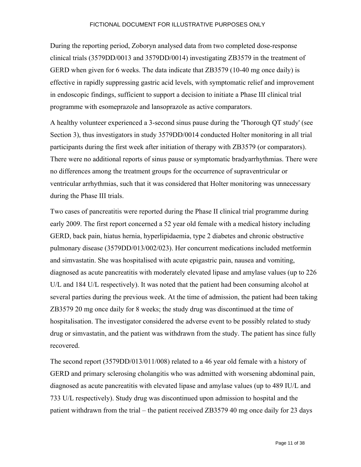During the reporting period, Zoboryn analysed data from two completed dose-response clinical trials (3579DD/0013 and 3579DD/0014) investigating ZB3579 in the treatment of GERD when given for 6 weeks. The data indicate that ZB3579 (10-40 mg once daily) is effective in rapidly suppressing gastric acid levels, with symptomatic relief and improvement in endoscopic findings, sufficient to support a decision to initiate a Phase III clinical trial programme with esomeprazole and lansoprazole as active comparators.

A healthy volunteer experienced a 3-second sinus pause during the 'Thorough QT study' (see Section 3), thus investigators in study 3579DD/0014 conducted Holter monitoring in all trial participants during the first week after initiation of therapy with ZB3579 (or comparators). There were no additional reports of sinus pause or symptomatic bradyarrhythmias. There were no differences among the treatment groups for the occurrence of supraventricular or ventricular arrhythmias, such that it was considered that Holter monitoring was unnecessary during the Phase III trials.

Two cases of pancreatitis were reported during the Phase II clinical trial programme during early 2009. The first report concerned a 52 year old female with a medical history including GERD, back pain, hiatus hernia, hyperlipidaemia, type 2 diabetes and chronic obstructive pulmonary disease (3579DD/013/002/023). Her concurrent medications included metformin and simvastatin. She was hospitalised with acute epigastric pain, nausea and vomiting, diagnosed as acute pancreatitis with moderately elevated lipase and amylase values (up to 226 U/L and 184 U/L respectively). It was noted that the patient had been consuming alcohol at several parties during the previous week. At the time of admission, the patient had been taking ZB3579 20 mg once daily for 8 weeks; the study drug was discontinued at the time of hospitalisation. The investigator considered the adverse event to be possibly related to study drug or simvastatin, and the patient was withdrawn from the study. The patient has since fully recovered.

The second report (3579DD/013/011/008) related to a 46 year old female with a history of GERD and primary sclerosing cholangitis who was admitted with worsening abdominal pain, diagnosed as acute pancreatitis with elevated lipase and amylase values (up to 489 IU/L and 733 U/L respectively). Study drug was discontinued upon admission to hospital and the patient withdrawn from the trial – the patient received ZB3579 40 mg once daily for 23 days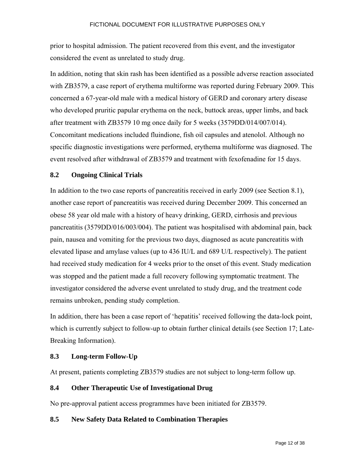prior to hospital admission. The patient recovered from this event, and the investigator considered the event as unrelated to study drug.

In addition, noting that skin rash has been identified as a possible adverse reaction associated with ZB3579, a case report of erythema multiforme was reported during February 2009. This concerned a 67-year-old male with a medical history of GERD and coronary artery disease who developed pruritic papular erythema on the neck, buttock areas, upper limbs, and back after treatment with ZB3579 10 mg once daily for 5 weeks (3579DD/014/007/014). Concomitant medications included fluindione, fish oil capsules and atenolol. Although no specific diagnostic investigations were performed, erythema multiforme was diagnosed. The event resolved after withdrawal of ZB3579 and treatment with fexofenadine for 15 days.

## **8.2 Ongoing Clinical Trials**

In addition to the two case reports of pancreatitis received in early 2009 (see Section 8.1), another case report of pancreatitis was received during December 2009. This concerned an obese 58 year old male with a history of heavy drinking, GERD, cirrhosis and previous pancreatitis (3579DD/016/003/004). The patient was hospitalised with abdominal pain, back pain, nausea and vomiting for the previous two days, diagnosed as acute pancreatitis with elevated lipase and amylase values (up to 436 IU/L and 689 U/L respectively). The patient had received study medication for 4 weeks prior to the onset of this event. Study medication was stopped and the patient made a full recovery following symptomatic treatment. The investigator considered the adverse event unrelated to study drug, and the treatment code remains unbroken, pending study completion.

In addition, there has been a case report of 'hepatitis' received following the data-lock point, which is currently subject to follow-up to obtain further clinical details (see Section 17; Late-Breaking Information).

#### **8.3 Long-term Follow-Up**

At present, patients completing ZB3579 studies are not subject to long-term follow up.

#### **8.4 Other Therapeutic Use of Investigational Drug**

No pre-approval patient access programmes have been initiated for ZB3579.

#### **8.5 New Safety Data Related to Combination Therapies**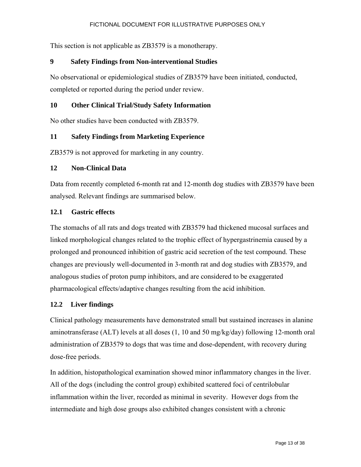This section is not applicable as ZB3579 is a monotherapy.

# **9 Safety Findings from Non-interventional Studies**

No observational or epidemiological studies of ZB3579 have been initiated, conducted, completed or reported during the period under review.

# **10 Other Clinical Trial/Study Safety Information**

No other studies have been conducted with ZB3579.

# **11 Safety Findings from Marketing Experience**

ZB3579 is not approved for marketing in any country.

## **12 Non-Clinical Data**

Data from recently completed 6-month rat and 12-month dog studies with ZB3579 have been analysed. Relevant findings are summarised below.

## **12.1 Gastric effects**

The stomachs of all rats and dogs treated with ZB3579 had thickened mucosal surfaces and linked morphological changes related to the trophic effect of hypergastrinemia caused by a prolonged and pronounced inhibition of gastric acid secretion of the test compound. These changes are previously well-documented in 3-month rat and dog studies with ZB3579, and analogous studies of proton pump inhibitors, and are considered to be exaggerated pharmacological effects/adaptive changes resulting from the acid inhibition.

## **12.2 Liver findings**

Clinical pathology measurements have demonstrated small but sustained increases in alanine aminotransferase (ALT) levels at all doses (1, 10 and 50 mg/kg/day) following 12-month oral administration of ZB3579 to dogs that was time and dose-dependent, with recovery during dose-free periods.

In addition, histopathological examination showed minor inflammatory changes in the liver. All of the dogs (including the control group) exhibited scattered foci of centrilobular inflammation within the liver, recorded as minimal in severity. However dogs from the intermediate and high dose groups also exhibited changes consistent with a chronic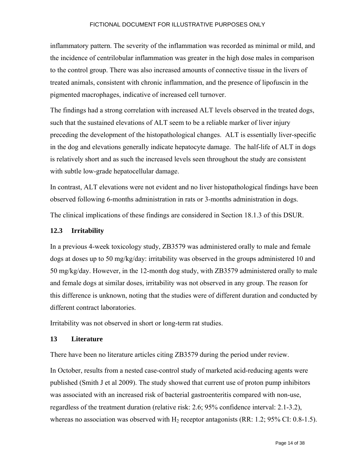inflammatory pattern. The severity of the inflammation was recorded as minimal or mild, and the incidence of centrilobular inflammation was greater in the high dose males in comparison to the control group. There was also increased amounts of connective tissue in the livers of treated animals, consistent with chronic inflammation, and the presence of lipofuscin in the pigmented macrophages, indicative of increased cell turnover.

The findings had a strong correlation with increased ALT levels observed in the treated dogs, such that the sustained elevations of ALT seem to be a reliable marker of liver injury preceding the development of the histopathological changes. ALT is essentially liver-specific in the dog and elevations generally indicate hepatocyte damage. The half-life of ALT in dogs is relatively short and as such the increased levels seen throughout the study are consistent with subtle low-grade hepatocellular damage.

In contrast, ALT elevations were not evident and no liver histopathological findings have been observed following 6-months administration in rats or 3-months administration in dogs.

The clinical implications of these findings are considered in Section 18.1.3 of this DSUR.

#### **12.3 Irritability**

In a previous 4-week toxicology study, ZB3579 was administered orally to male and female dogs at doses up to 50 mg/kg/day: irritability was observed in the groups administered 10 and 50 mg/kg/day. However, in the 12-month dog study, with ZB3579 administered orally to male and female dogs at similar doses, irritability was not observed in any group. The reason for this difference is unknown, noting that the studies were of different duration and conducted by different contract laboratories.

Irritability was not observed in short or long-term rat studies.

#### **13 Literature**

There have been no literature articles citing ZB3579 during the period under review.

In October, results from a nested case-control study of marketed acid-reducing agents were published (Smith J et al 2009). The study showed that current use of proton pump inhibitors was associated with an increased risk of bacterial gastroenteritis compared with non-use, regardless of the treatment duration (relative risk: 2.6; 95% confidence interval: 2.1-3.2), whereas no association was observed with  $H_2$  receptor antagonists (RR: 1.2; 95% CI: 0.8-1.5).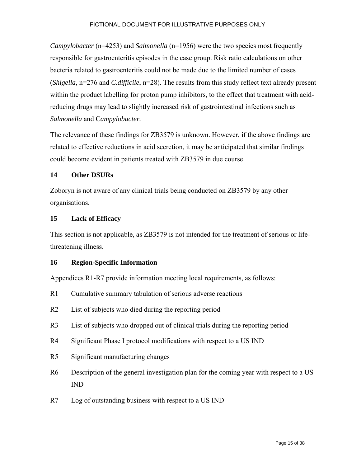*Campylobacter* (n=4253) and *Salmonella* (n=1956) were the two species most frequently responsible for gastroenteritis episodes in the case group. Risk ratio calculations on other bacteria related to gastroenteritis could not be made due to the limited number of cases (*Shigella*, n=276 and *C.difficile*, n=28). The results from this study reflect text already present within the product labelling for proton pump inhibitors, to the effect that treatment with acidreducing drugs may lead to slightly increased risk of gastrointestinal infections such as *Salmonella* and C*ampylobacter.*

The relevance of these findings for ZB3579 is unknown. However, if the above findings are related to effective reductions in acid secretion, it may be anticipated that similar findings could become evident in patients treated with ZB3579 in due course.

#### **14 Other DSURs**

Zoboryn is not aware of any clinical trials being conducted on ZB3579 by any other organisations.

#### **15 Lack of Efficacy**

This section is not applicable, as ZB3579 is not intended for the treatment of serious or lifethreatening illness.

#### **16 Region-Specific Information**

Appendices R1-R7 provide information meeting local requirements, as follows:

- R1 Cumulative summary tabulation of serious adverse reactions
- R2 List of subjects who died during the reporting period
- R3 List of subjects who dropped out of clinical trials during the reporting period
- R4 Significant Phase I protocol modifications with respect to a US IND
- R5 Significant manufacturing changes
- R6 Description of the general investigation plan for the coming year with respect to a US IND
- R7 Log of outstanding business with respect to a US IND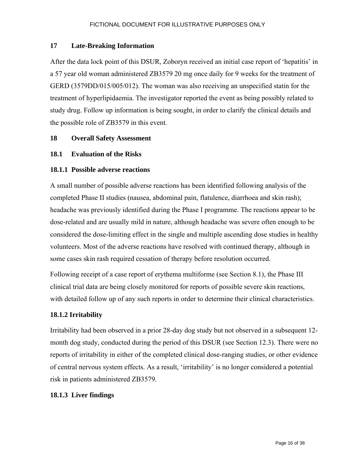#### **17 Late-Breaking Information**

After the data lock point of this DSUR, Zoboryn received an initial case report of 'hepatitis' in a 57 year old woman administered ZB3579 20 mg once daily for 9 weeks for the treatment of GERD (3579DD/015/005/012). The woman was also receiving an unspecified statin for the treatment of hyperlipidaemia. The investigator reported the event as being possibly related to study drug. Follow up information is being sought, in order to clarify the clinical details and the possible role of ZB3579 in this event.

#### **18 Overall Safety Assessment**

#### **18.1 Evaluation of the Risks**

#### **18.1.1 Possible adverse reactions**

A small number of possible adverse reactions has been identified following analysis of the completed Phase II studies (nausea, abdominal pain, flatulence, diarrhoea and skin rash); headache was previously identified during the Phase I programme. The reactions appear to be dose-related and are usually mild in nature, although headache was severe often enough to be considered the dose-limiting effect in the single and multiple ascending dose studies in healthy volunteers. Most of the adverse reactions have resolved with continued therapy, although in some cases skin rash required cessation of therapy before resolution occurred.

Following receipt of a case report of erythema multiforme (see Section 8.1), the Phase III clinical trial data are being closely monitored for reports of possible severe skin reactions, with detailed follow up of any such reports in order to determine their clinical characteristics.

## **18.1.2 Irritability**

Irritability had been observed in a prior 28-day dog study but not observed in a subsequent 12 month dog study, conducted during the period of this DSUR (see Section 12.3). There were no reports of irritability in either of the completed clinical dose-ranging studies, or other evidence of central nervous system effects. As a result, 'irritability' is no longer considered a potential risk in patients administered ZB3579.

#### **18.1.3 Liver findings**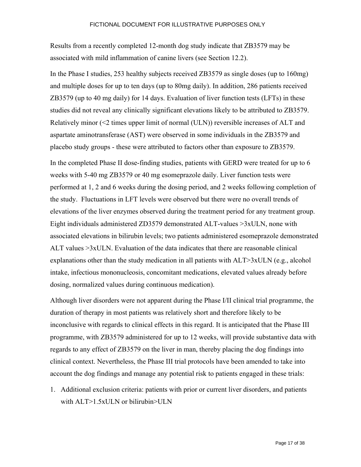Results from a recently completed 12-month dog study indicate that ZB3579 may be associated with mild inflammation of canine livers (see Section 12.2).

In the Phase I studies, 253 healthy subjects received ZB3579 as single doses (up to 160mg) and multiple doses for up to ten days (up to 80mg daily). In addition, 286 patients received ZB3579 (up to 40 mg daily) for 14 days. Evaluation of liver function tests (LFTs) in these studies did not reveal any clinically significant elevations likely to be attributed to ZB3579. Relatively minor (<2 times upper limit of normal (ULN)) reversible increases of ALT and aspartate aminotransferase (AST) were observed in some individuals in the ZB3579 and placebo study groups - these were attributed to factors other than exposure to ZB3579.

In the completed Phase II dose-finding studies, patients with GERD were treated for up to 6 weeks with 5-40 mg ZB3579 or 40 mg esomeprazole daily. Liver function tests were performed at 1, 2 and 6 weeks during the dosing period, and 2 weeks following completion of the study. Fluctuations in LFT levels were observed but there were no overall trends of elevations of the liver enzymes observed during the treatment period for any treatment group. Eight individuals administered ZD3579 demonstrated ALT-values >3xULN, none with associated elevations in bilirubin levels; two patients administered esomeprazole demonstrated ALT values >3xULN. Evaluation of the data indicates that there are reasonable clinical explanations other than the study medication in all patients with  $ALT > 3xULN$  (e.g., alcohol intake, infectious mononucleosis, concomitant medications, elevated values already before dosing, normalized values during continuous medication).

Although liver disorders were not apparent during the Phase I/II clinical trial programme, the duration of therapy in most patients was relatively short and therefore likely to be inconclusive with regards to clinical effects in this regard. It is anticipated that the Phase III programme, with ZB3579 administered for up to 12 weeks, will provide substantive data with regards to any effect of ZB3579 on the liver in man, thereby placing the dog findings into clinical context. Nevertheless, the Phase III trial protocols have been amended to take into account the dog findings and manage any potential risk to patients engaged in these trials:

1. Additional exclusion criteria: patients with prior or current liver disorders, and patients with ALT>1.5xULN or bilirubin>ULN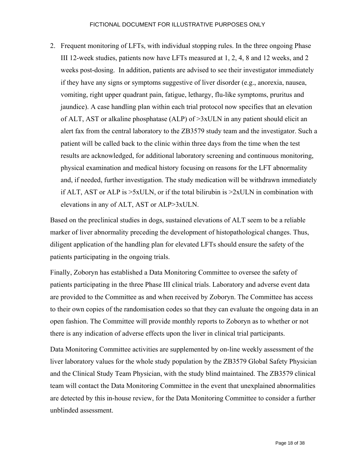2. Frequent monitoring of LFTs, with individual stopping rules. In the three ongoing Phase III 12-week studies, patients now have LFTs measured at 1, 2, 4, 8 and 12 weeks, and 2 weeks post-dosing. In addition, patients are advised to see their investigator immediately if they have any signs or symptoms suggestive of liver disorder (e.g., anorexia, nausea, vomiting, right upper quadrant pain, fatigue, lethargy, flu-like symptoms, pruritus and jaundice). A case handling plan within each trial protocol now specifies that an elevation of ALT, AST or alkaline phosphatase (ALP) of >3xULN in any patient should elicit an alert fax from the central laboratory to the ZB3579 study team and the investigator. Such a patient will be called back to the clinic within three days from the time when the test results are acknowledged, for additional laboratory screening and continuous monitoring, physical examination and medical history focusing on reasons for the LFT abnormality and, if needed, further investigation. The study medication will be withdrawn immediately if ALT, AST or ALP is  $>5x$ ULN, or if the total bilirubin is  $>2x$ ULN in combination with elevations in any of ALT, AST or ALP>3xULN.

Based on the preclinical studies in dogs, sustained elevations of ALT seem to be a reliable marker of liver abnormality preceding the development of histopathological changes. Thus, diligent application of the handling plan for elevated LFTs should ensure the safety of the patients participating in the ongoing trials.

Finally, Zoboryn has established a Data Monitoring Committee to oversee the safety of patients participating in the three Phase III clinical trials. Laboratory and adverse event data are provided to the Committee as and when received by Zoboryn. The Committee has access to their own copies of the randomisation codes so that they can evaluate the ongoing data in an open fashion. The Committee will provide monthly reports to Zoboryn as to whether or not there is any indication of adverse effects upon the liver in clinical trial participants.

Data Monitoring Committee activities are supplemented by on-line weekly assessment of the liver laboratory values for the whole study population by the ZB3579 Global Safety Physician and the Clinical Study Team Physician, with the study blind maintained. The ZB3579 clinical team will contact the Data Monitoring Committee in the event that unexplained abnormalities are detected by this in-house review, for the Data Monitoring Committee to consider a further unblinded assessment.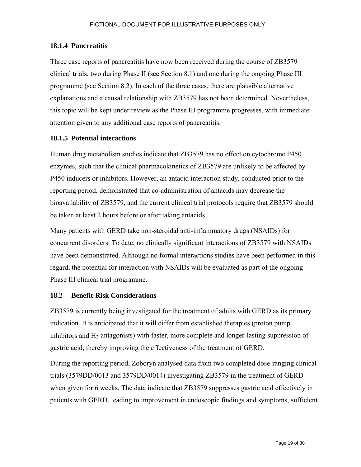#### **18.1.4 Pancreatitis**

Three case reports of pancreatitis have now been received during the course of ZB3579 clinical trials, two during Phase II (see Section 8.1) and one during the ongoing Phase III programme (see Section 8.2). In each of the three cases, there are plausible alternative explanations and a causal relationship with ZB3579 has not been determined. Nevertheless, this topic will be kept under review as the Phase III programme progresses, with immediate attention given to any additional case reports of pancreatitis.

#### **18.1.5 Potential interactions**

Human drug metabolism studies indicate that ZB3579 has no effect on cytochrome P450 enzymes, such that the clinical pharmacokinetics of ZB3579 are unlikely to be affected by P450 inducers or inhibitors. However, an antacid interaction study, conducted prior to the reporting period, demonstrated that co-administration of antacids may decrease the bioavailability of ZB3579, and the current clinical trial protocols require that ZB3579 should be taken at least 2 hours before or after taking antacids.

Many patients with GERD take non-steroidal anti-inflammatory drugs (NSAIDs) for concurrent disorders. To date, no clinically significant interactions of ZB3579 with NSAIDs have been demonstrated. Although no formal interactions studies have been performed in this regard, the potential for interaction with NSAIDs will be evaluated as part of the ongoing Phase III clinical trial programme.

## **18.2 Benefit-Risk Considerations**

ZB3579 is currently being investigated for the treatment of adults with GERD as its primary indication. It is anticipated that it will differ from established therapies (proton pump inhibitors and  $H_2$ -antagonists) with faster, more complete and longer-lasting suppression of gastric acid, thereby improving the effectiveness of the treatment of GERD.

During the reporting period, Zoboryn analysed data from two completed dose-ranging clinical trials (3579DD/0013 and 3579DD/0014) investigating ZB3579 in the treatment of GERD when given for 6 weeks. The data indicate that ZB3579 suppresses gastric acid effectively in patients with GERD, leading to improvement in endoscopic findings and symptoms, sufficient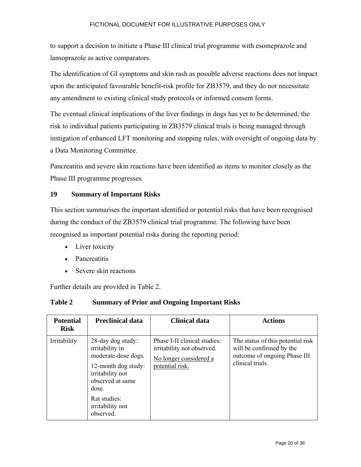to support a decision to initiate a Phase III clinical trial programme with esomeprazole and lansoprazole as active comparators.

The identification of GI symptoms and skin rash as possible adverse reactions does not impact upon the anticipated favourable benefit-risk profile for ZB3579, and they do not necessitate any amendment to existing clinical study protocols or informed consent forms.

The eventual clinical implications of the liver findings in dogs has yet to be determined; the risk to individual patients participating in ZB3579 clinical trials is being managed through instigation of enhanced LFT monitoring and stopping rules, with oversight of ongoing data by a Data Monitoring Committee.

Pancreatitis and severe skin reactions have been identified as items to monitor closely as the Phase III programme progresses.

# **19 Summary of Important Risks**

This section summarises the important identified or potential risks that have been recognised during the conduct of the ZB3579 clinical trial programme. The following have been recognised as important potential risks during the reporting period:

- Liver toxicity
- Pancreatitis
- Severe skin reactions

Further details are provided in Table 2.

| Table 2 | <b>Summary of Prior and Ongoing Important Risks</b> |
|---------|-----------------------------------------------------|
|---------|-----------------------------------------------------|

| <b>Potential</b><br><b>Risk</b> | <b>Preclinical data</b>                                                                                                                                                              | <b>Clinical data</b>                                                                                    | <b>Actions</b>                                                                                                    |
|---------------------------------|--------------------------------------------------------------------------------------------------------------------------------------------------------------------------------------|---------------------------------------------------------------------------------------------------------|-------------------------------------------------------------------------------------------------------------------|
| Irritability                    | 28-day dog study:<br>irritability in<br>moderate-dose dogs.<br>12-month dog study:<br>irritability not<br>observed at same<br>dose.<br>Rat studies:<br>irritability not<br>observed. | Phase I-II clinical studies:<br>irritability not observed.<br>No longer considered a<br>potential risk. | The status of this potential risk<br>will be confirmed by the<br>outcome of ongoing Phase III<br>clinical trials. |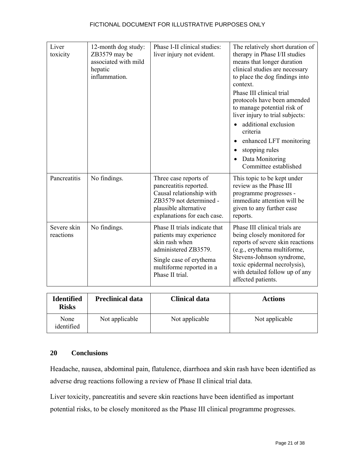| Liver<br>toxicity        | 12-month dog study:<br>ZB3579 may be<br>associated with mild<br>hepatic<br>inflammation. | Phase I-II clinical studies:<br>liver injury not evident.                                                                                                                    | The relatively short duration of<br>therapy in Phase I/II studies<br>means that longer duration<br>clinical studies are necessary<br>to place the dog findings into<br>context.<br>Phase III clinical trial<br>protocols have been amended<br>to manage potential risk of<br>liver injury to trial subjects:<br>additional exclusion<br>criteria<br>enhanced LFT monitoring<br>stopping rules<br>Data Monitoring<br>Committee established |
|--------------------------|------------------------------------------------------------------------------------------|------------------------------------------------------------------------------------------------------------------------------------------------------------------------------|-------------------------------------------------------------------------------------------------------------------------------------------------------------------------------------------------------------------------------------------------------------------------------------------------------------------------------------------------------------------------------------------------------------------------------------------|
| Pancreatitis             | No findings.                                                                             | Three case reports of<br>pancreatitis reported.<br>Causal relationship with<br>ZB3579 not determined -<br>plausible alternative<br>explanations for each case.               | This topic to be kept under<br>review as the Phase III<br>programme progresses -<br>immediate attention will be<br>given to any further case<br>reports.                                                                                                                                                                                                                                                                                  |
| Severe skin<br>reactions | No findings.                                                                             | Phase II trials indicate that<br>patients may experience<br>skin rash when<br>administered ZB3579.<br>Single case of erythema<br>multiforme reported in a<br>Phase II trial. | Phase III clinical trials are<br>being closely monitored for<br>reports of severe skin reactions<br>(e.g., erythema multiforme,<br>Stevens-Johnson syndrome,<br>toxic epidermal necrolysis),<br>with detailed follow up of any<br>affected patients.                                                                                                                                                                                      |

| <b>Identified</b><br><b>Risks</b> | <b>Preclinical data</b> | Clinical data  | <b>Actions</b> |  |  |
|-----------------------------------|-------------------------|----------------|----------------|--|--|
| None<br>identified                | Not applicable          | Not applicable | Not applicable |  |  |

# **20 Conclusions**

Headache, nausea, abdominal pain, flatulence, diarrhoea and skin rash have been identified as adverse drug reactions following a review of Phase II clinical trial data.

Liver toxicity, pancreatitis and severe skin reactions have been identified as important potential risks, to be closely monitored as the Phase III clinical programme progresses.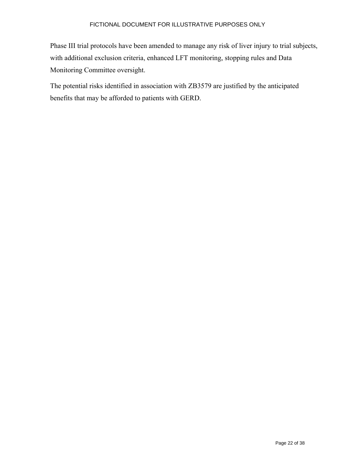Phase III trial protocols have been amended to manage any risk of liver injury to trial subjects, with additional exclusion criteria, enhanced LFT monitoring, stopping rules and Data Monitoring Committee oversight.

The potential risks identified in association with ZB3579 are justified by the anticipated benefits that may be afforded to patients with GERD.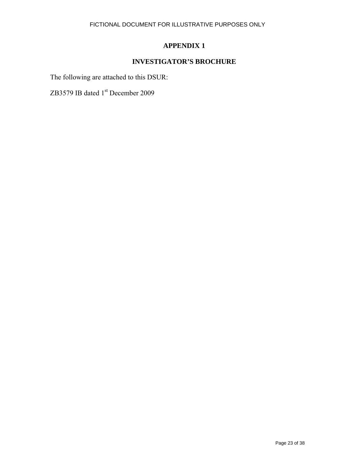# **APPENDIX 1**

# **INVESTIGATOR'S BROCHURE**

The following are attached to this DSUR:

ZB3579 IB dated 1<sup>st</sup> December 2009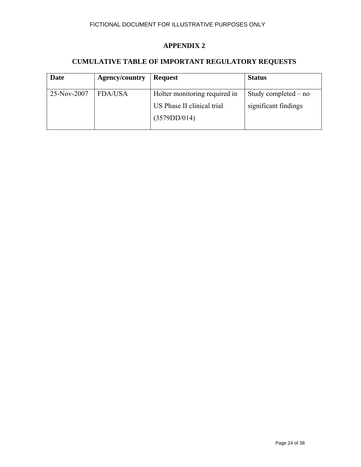#### **APPENDIX 2**

#### **CUMULATIVE TABLE OF IMPORTANT REGULATORY REQUESTS**

| <b>Date</b> | <b>Agency/country</b> | <b>Request</b>                             | <b>Status</b>          |
|-------------|-----------------------|--------------------------------------------|------------------------|
| 25-Nov-2007 | <b>FDA/USA</b>        | Holter monitoring required in              | Study completed $-$ no |
|             |                       | US Phase II clinical trial<br>(3579DD/014) | significant findings   |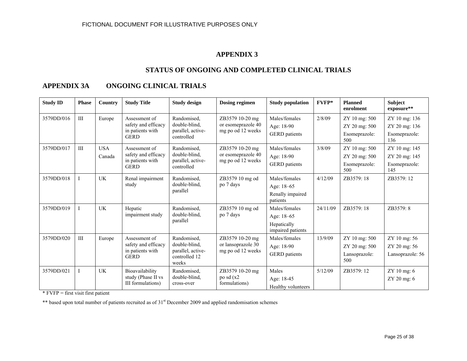#### **APPENDIX 3**

#### **STATUS OF ONGOING AND COMPLETED CLINICAL TRIALS**

#### **APPENDIX 3A ONGOING CLINICAL TRIALS**

| <b>Study ID</b> | <b>Phase</b>   | Country              | <b>Study Title</b>                                                      | <b>Study design</b>                                                         | <b>Dosing regimen</b>                                      | <b>Study population</b>                                         | FVFP*    | <b>Planned</b><br>enrolment                            | <b>Subject</b><br>exposure**                           |
|-----------------|----------------|----------------------|-------------------------------------------------------------------------|-----------------------------------------------------------------------------|------------------------------------------------------------|-----------------------------------------------------------------|----------|--------------------------------------------------------|--------------------------------------------------------|
| 3579DD/016      | III            | Europe               | Assessment of<br>safety and efficacy<br>in patients with<br><b>GERD</b> | Randomised,<br>double-blind.<br>parallel, active-<br>controlled             | ZB3579 10-20 mg<br>or esomeprazole 40<br>mg po od 12 weeks | Males/females<br>Age: 18-90<br>GERD patients                    | 2/8/09   | ZY 10 mg: 500<br>ZY 20 mg: 500<br>Esomeprazole:<br>500 | ZY 10 mg: 136<br>ZY 20 mg: 136<br>Esomeprazole:<br>136 |
| 3579DD/017      | $\mathbf{III}$ | <b>USA</b><br>Canada | Assessment of<br>safety and efficacy<br>in patients with<br><b>GERD</b> | Randomised,<br>double-blind.<br>parallel, active-<br>controlled             | ZB3579 10-20 mg<br>or esomeprazole 40<br>mg po od 12 weeks | Males/females<br>Age: 18-90<br><b>GERD</b> patients             | 3/8/09   | ZY 10 mg: 500<br>ZY 20 mg: 500<br>Esomeprazole:<br>500 | ZY 10 mg: 145<br>ZY 20 mg: 145<br>Esomeprazole:<br>145 |
| 3579DD/018      | I              | <b>UK</b>            | Renal impairment<br>study                                               | Randomised,<br>double-blind.<br>parallel                                    | ZB3579 10 mg od<br>po 7 days                               | Males/females<br>Age: 18-65<br>Renally impaired<br>patients     | 4/12/09  | ZB3579:18                                              | ZB3579: 12                                             |
| 3579DD/019      |                | <b>UK</b>            | Hepatic<br>impairment study                                             | Randomised,<br>double-blind.<br>parallel                                    | ZB3579 10 mg od<br>po 7 days                               | Males/females<br>Age: 18-65<br>Hepatically<br>impaired patients | 24/11/09 | ZB3579: 18                                             | ZB3579:8                                               |
| 3579DD/020      | III            | Europe               | Assessment of<br>safety and efficacy<br>in patients with<br><b>GERD</b> | Randomised,<br>double-blind.<br>parallel, active-<br>controlled 12<br>weeks | ZB3579 10-20 mg<br>or lansoprazole 30<br>mg po od 12 weeks | Males/females<br>Age: 18-90<br><b>GERD</b> patients             | 13/9/09  | ZY 10 mg: 500<br>ZY 20 mg: 500<br>Lansoprazole:<br>500 | ZY 10 mg: 56<br>ZY 20 mg: 56<br>Lansoprazole: 56       |
| 3579DD/021      | I              | <b>UK</b>            | Bioavailability<br>study (Phase II vs<br>III formulations)              | Randomised,<br>double-blind.<br>cross-over                                  | ZB3579 10-20 mg<br>po sd(x2)<br>formulations)              | Males<br>Age: 18-45<br>Healthy volunteers                       | 5/12/09  | ZB3579: 12                                             | ZY 10 mg: 6<br>ZY 20 mg: 6                             |

\* FVFP = first visit first patient

\*\* based upon total number of patients recruited as of 31<sup>st</sup> December 2009 and applied randomisation schemes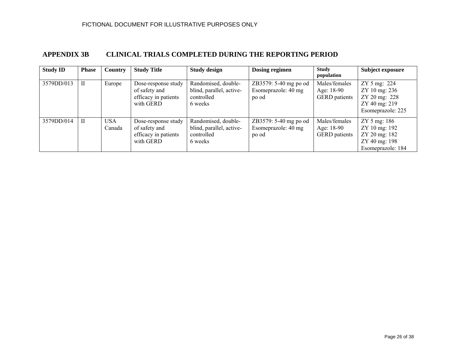#### **APPENDIX 3B CLINICAL TRIALS COMPLETED DURING THE REPORTING PERIOD**

| <b>Study ID</b> | <b>Phase</b> | <b>Country</b> | <b>Study Title</b>                                                        | <b>Study design</b>                                                      | Dosing regimen                                        | <b>Study</b><br>population                          | Subject exposure                                                                       |
|-----------------|--------------|----------------|---------------------------------------------------------------------------|--------------------------------------------------------------------------|-------------------------------------------------------|-----------------------------------------------------|----------------------------------------------------------------------------------------|
| 3579DD/013      | $\mathbf{I}$ | Europe         | Dose-response study<br>of safety and<br>efficacy in patients<br>with GERD | Randomised, double-<br>blind, parallel, active-<br>controlled<br>6 weeks | ZB3579: 5-40 mg po od<br>Esomeprazole: 40 mg<br>po od | Males/females<br>Age: 18-90<br><b>GERD</b> patients | ZY 5 mg: 224<br>ZY 10 mg: 236<br>ZY 20 mg: 228<br>ZY 40 mg: 219<br>Esomeprazole: 225   |
| 3579DD/014      | $\rm{II}$    | USA.<br>Canada | Dose-response study<br>of safety and<br>efficacy in patients<br>with GERD | Randomised, double-<br>blind, parallel, active-<br>controlled<br>6 weeks | ZB3579: 5-40 mg po od<br>Esomeprazole: 40 mg<br>po od | Males/females<br>Age: 18-90<br><b>GERD</b> patients | $ZY 5$ mg: 186<br>ZY 10 mg: 192<br>ZY 20 mg: 182<br>ZY 40 mg: 198<br>Esomeprazole: 184 |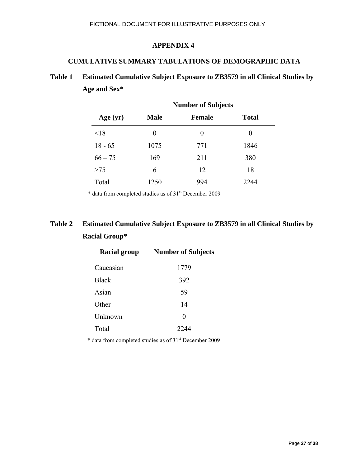#### **APPENDIX 4**

#### **CUMULATIVE SUMMARY TABULATIONS OF DEMOGRAPHIC DATA**

# **Table 1 Estimated Cumulative Subject Exposure to ZB3579 in all Clinical Studies by Age and Sex\***

|            | <b>Number of Subjects</b> |               |              |  |  |  |  |
|------------|---------------------------|---------------|--------------|--|--|--|--|
| Age $(yr)$ | <b>Male</b>               | <b>Female</b> | <b>Total</b> |  |  |  |  |
| < 18       | $_{0}$                    | $\theta$      | $\theta$     |  |  |  |  |
| $18 - 65$  | 1075                      | 771           | 1846         |  |  |  |  |
| $66 - 75$  | 169                       | 211           | 380          |  |  |  |  |
| $>75$      | 6                         | 12            | 18           |  |  |  |  |
| Total      | 1250                      | 994           | 2244         |  |  |  |  |

\* data from completed studies as of 31st December 2009

# **Table 2 Estimated Cumulative Subject Exposure to ZB3579 in all Clinical Studies by Racial Group\***

| <b>Racial group</b> | <b>Number of Subjects</b> |
|---------------------|---------------------------|
| Caucasian           | 1779                      |
| <b>Black</b>        | 392                       |
| Asian               | 59                        |
| Other               | 14                        |
| Unknown             | 0                         |
| Total               | 2244                      |

\* data from completed studies as of 31st December 2009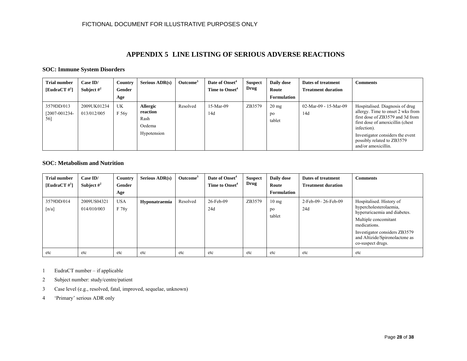#### **APPENDIX 5 LINE LISTING OF SERIOUS ADVERSE REACTIONS**

#### **SOC: Immune System Disorders**

| <b>Trial number</b><br>[EudraCT $\#^1$ ] | Case ID/<br>Subject $\#^2$ | Country<br>Gender<br>Age | Serious $\rm{ADR}(s)$                                        | Outcome <sup>3</sup> | Date of Onset <sup>4</sup><br>Time to Onset <sup>4</sup> | <b>Suspect</b><br>Drug | Daily dose<br>Route<br><b>Formulation</b> | Dates of treatment<br><b>Treatment duration</b> | <b>Comments</b>                                                                                                                                                                                                                                       |
|------------------------------------------|----------------------------|--------------------------|--------------------------------------------------------------|----------------------|----------------------------------------------------------|------------------------|-------------------------------------------|-------------------------------------------------|-------------------------------------------------------------------------------------------------------------------------------------------------------------------------------------------------------------------------------------------------------|
| 3579DD/013<br>$[2007 - 001234 -$<br>56]  | 2009UK01234<br>013/012/005 | UK<br>F 56y              | <b>Allergic</b><br>reaction<br>Rash<br>Oedema<br>Hypotension | Resolved             | 15-Mar-09<br>14d                                         | ZB3579                 | $20 \text{ mg}$<br>po<br>tablet           | 02-Mar-09 - 15-Mar-09<br>14d                    | Hospitalised. Diagnosis of drug<br>allergy. Time to onset 2 wks from<br>first dose of ZB3579 and 3d from<br>first dose of amoxicillin (chest)<br>infection).<br>Investigator considers the event<br>possibly related to ZB3579<br>and/or amoxicillin. |

#### **SOC: Metabolism and Nutrition**

| <b>Trial number</b><br>[EudraCT $\#^1$ ] | Case ID/<br>Subject $\#^2$ | Country<br>Gender<br>Age | Serious $\rm{ADR}(s)$ | Outcome <sup>3</sup> | Date of Onset <sup>4</sup><br>Time to Onset <sup>4</sup> | <b>Suspect</b><br>Drug | Daily dose<br>Route<br>Formulation | Dates of treatment<br><b>Treatment duration</b> | <b>Comments</b>                                                                                                                                                                                                    |
|------------------------------------------|----------------------------|--------------------------|-----------------------|----------------------|----------------------------------------------------------|------------------------|------------------------------------|-------------------------------------------------|--------------------------------------------------------------------------------------------------------------------------------------------------------------------------------------------------------------------|
| 3579DD/014<br>$\lceil n/a \rceil$        | 2009US04321<br>014/010/003 | <b>USA</b><br>F 78y      | Hyponatraemia         | Resolved             | 26-Feb-09<br>24d                                         | ZB3579                 | $10 \text{ mg}$<br>po<br>tablet    | 2-Feb-09-26-Feb-09<br>24d                       | Hospitalised. History of<br>hypercholesterolaemia,<br>hyperuricaemia and diabetes.<br>Multiple concomitant<br>medications.<br>Investigator considers ZB3579<br>and Altizide/Spironolactone as<br>co-suspect drugs. |
| etc                                      | etc                        | etc                      | etc                   | etc                  | etc                                                      | etc                    | etc                                | etc                                             | etc                                                                                                                                                                                                                |

1EudraCT number – if applicable

- 2Subject number: study/centre/patient
- 3Case level (e.g., resolved, fatal, improved, sequelae, unknown)
- 4'Primary' serious ADR only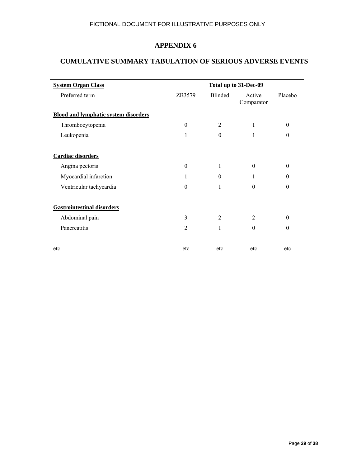# **APPENDIX 6**

# **CUMULATIVE SUMMARY TABULATION OF SERIOUS ADVERSE EVENTS**

| <b>System Organ Class</b>                   | Total up to 31-Dec-09 |                |                      |          |
|---------------------------------------------|-----------------------|----------------|----------------------|----------|
| Preferred term                              | ZB3579                | <b>Blinded</b> | Active<br>Comparator | Placebo  |
| <b>Blood and lymphatic system disorders</b> |                       |                |                      |          |
| Thrombocytopenia                            | $\theta$              | $\overline{2}$ | 1                    | $\theta$ |
| Leukopenia                                  | 1                     | $\theta$       | 1                    | $\theta$ |
| Cardiac disorders                           |                       |                |                      |          |
| Angina pectoris                             | $\theta$              | 1              | $\theta$             | $\theta$ |
| Myocardial infarction                       | 1                     | $\theta$       | 1                    | $\Omega$ |
| Ventricular tachycardia                     | $\theta$              | 1              | $\theta$             | $\theta$ |
| <b>Gastrointestinal disorders</b>           |                       |                |                      |          |
| Abdominal pain                              | 3                     | $\overline{2}$ | $\overline{2}$       | $\theta$ |
| Pancreatitis                                | 2                     | 1              | $\theta$             | $\theta$ |
| etc                                         | etc                   | etc            | etc                  | etc      |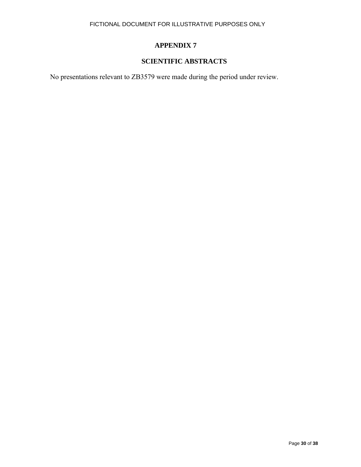# **APPENDIX 7**

# **SCIENTIFIC ABSTRACTS**

No presentations relevant to ZB3579 were made during the period under review.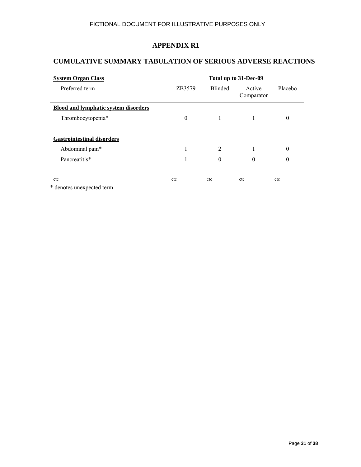# **CUMULATIVE SUMMARY TABULATION OF SERIOUS ADVERSE REACTIONS**

| <b>System Organ Class</b>                   | Total up to 31-Dec-09 |                |                      |          |
|---------------------------------------------|-----------------------|----------------|----------------------|----------|
| Preferred term                              | ZB3579                | <b>Blinded</b> | Active<br>Comparator | Placebo  |
| <b>Blood and lymphatic system disorders</b> |                       |                |                      |          |
| Thrombocytopenia*                           | $\mathbf{0}$          | 1              | 1                    | $\theta$ |
|                                             |                       |                |                      |          |
| <b>Gastrointestinal disorders</b>           |                       |                |                      |          |
| Abdominal pain*                             |                       | 2              | 1                    | $\theta$ |
| Pancreatitis*                               |                       | $\theta$       | $\theta$             | $\theta$ |
|                                             |                       |                |                      |          |
| etc                                         | etc                   | etc            | etc                  | etc      |

denotes unexpected term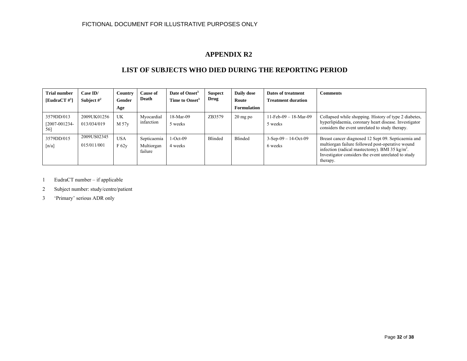#### **LIST OF SUBJECTS WHO DIED DURING THE REPORTING PERIOD**

| <b>Trial number</b><br>[EudraCT $\#^1$ ] | Case ID/<br>Subject $\#^2$ | <b>Country</b><br>Gender<br>Age | <b>Cause of</b><br>Death             | Date of Onset <sup>3</sup><br>Time to Onset <sup>3</sup> | <b>Suspect</b><br>Drug | Daily dose<br>Route<br>Formulation | Dates of treatment<br><b>Treatment duration</b> | <b>Comments</b>                                                                                                                                                                                                                          |
|------------------------------------------|----------------------------|---------------------------------|--------------------------------------|----------------------------------------------------------|------------------------|------------------------------------|-------------------------------------------------|------------------------------------------------------------------------------------------------------------------------------------------------------------------------------------------------------------------------------------------|
| 3579DD/013<br>$[2007 - 001234 -$<br>56]  | 2009UK01256<br>013/034/019 | UK<br>M 57y                     | Myocardial<br>infarction             | 18-Mar-09<br>5 weeks                                     | ZB3579                 | $20 \text{ mg po}$                 | $11-Feb-09 - 18-Mar-09$<br>5 weeks              | Collapsed while shopping. History of type 2 diabetes,<br>hyperlipidaemia, coronary heart disease. Investigator<br>considers the event unrelated to study therapy.                                                                        |
| 3579DD/015<br>$\lceil n/a \rceil$        | 2009US02345<br>015/011/001 | <b>USA</b><br>F 62v             | Septicaemia<br>Multiorgan<br>failure | $1-Oct-09$<br>4 weeks                                    | Blinded                | Blinded                            | $3-Sep-09 - 14-Oct-09$<br>6 weeks               | Breast cancer diagnosed 12 Sept 09. Septicaemia and<br>multiorgan failure followed post-operative wound<br>infection (radical mastectomy). BMI 35 kg/m <sup>2</sup> .<br>Investigator considers the event unrelated to study<br>therapy. |

1 EudraCT number – if applicable

2 Subject number: study/centre/patient

3 'Primary' serious ADR only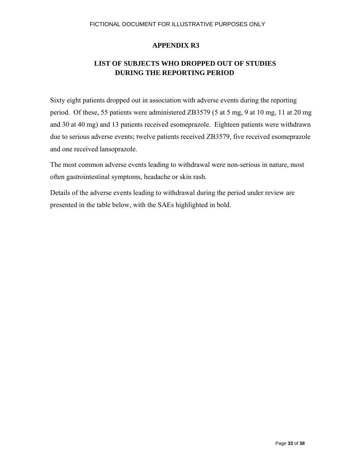# **LIST OF SUBJECTS WHO DROPPED OUT OF STUDIES DURING THE REPORTING PERIOD**

Sixty eight patients dropped out in association with adverse events during the reporting period. Of these, 55 patients were administered ZB3579 (5 at 5 mg, 9 at 10 mg, 11 at 20 mg and 30 at 40 mg) and 13 patients received esomeprazole. Eighteen patients were withdrawn due to serious adverse events; twelve patients received ZB3579, five received esomeprazole and one received lansoprazole.

The most common adverse events leading to withdrawal were non-serious in nature, most often gastrointestinal symptoms, headache or skin rash.

Details of the adverse events leading to withdrawal during the period under review are presented in the table below, with the SAEs highlighted in bold.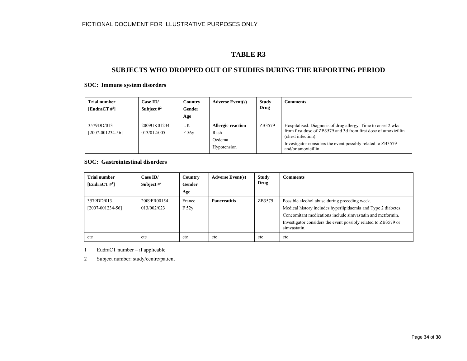# **TABLE R3**

#### **SUBJECTS WHO DROPPED OUT OF STUDIES DURING THE REPORTING PERIOD**

#### **SOC: Immune system disorders**

| <b>Trial number</b><br>[EudraCT $\#^1$ ] | Case ID/<br>Subject $#^2$  | Country<br>Gender<br>Age | <b>Adverse Event(s)</b>                                   | <b>Study</b><br>Drug | Comments                                                                                                                                                                                                                                    |
|------------------------------------------|----------------------------|--------------------------|-----------------------------------------------------------|----------------------|---------------------------------------------------------------------------------------------------------------------------------------------------------------------------------------------------------------------------------------------|
| 3579DD/013<br>$[2007-001234-56]$         | 2009UK01234<br>013/012/005 | UK<br>F 56y              | <b>Allergic reaction</b><br>Rash<br>Oedema<br>Hypotension | ZB3579               | Hospitalised. Diagnosis of drug allergy. Time to onset 2 wks<br>from first dose of ZB3579 and 3d from first dose of amoxicillin<br>(chest infection).<br>Investigator considers the event possibly related to ZB3579<br>and/or amoxicillin. |

#### **SOC: Gastrointestinal disorders**

| <b>Trial number</b><br>[EudraCT $\sharp^1$ ] | Case ID/<br>Subject $\#^2$ | Country<br>Gender<br>Age | <b>Adverse Event(s)</b> | <b>Study</b><br>Drug | <b>Comments</b>                                                                                                                                                                                                                                                |
|----------------------------------------------|----------------------------|--------------------------|-------------------------|----------------------|----------------------------------------------------------------------------------------------------------------------------------------------------------------------------------------------------------------------------------------------------------------|
| 3579DD/013<br>$[2007 - 001234 - 56]$         | 2009FR00154<br>013/002/023 | France<br>F 52y          | <b>Pancreatitis</b>     | ZB3579               | Possible alcohol abuse during preceding week.<br>Medical history includes hyperlipidaemia and Type 2 diabetes.<br>Concomitant medications include simvastatin and metformin.<br>Investigator considers the event possibly related to ZB3579 or<br>simvastatin. |
| etc                                          | etc                        | etc                      | etc                     | etc                  | etc                                                                                                                                                                                                                                                            |

1 EudraCT number – if applicable

2 Subject number: study/centre/patient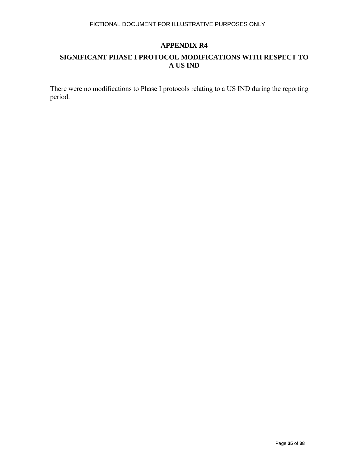# **SIGNIFICANT PHASE I PROTOCOL MODIFICATIONS WITH RESPECT TO A US IND**

There were no modifications to Phase I protocols relating to a US IND during the reporting period.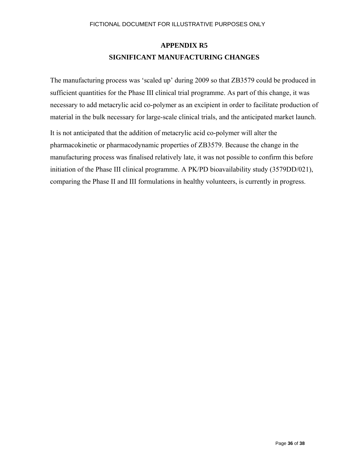# **APPENDIX R5 SIGNIFICANT MANUFACTURING CHANGES**

The manufacturing process was 'scaled up' during 2009 so that ZB3579 could be produced in sufficient quantities for the Phase III clinical trial programme. As part of this change, it was necessary to add metacrylic acid co-polymer as an excipient in order to facilitate production of material in the bulk necessary for large-scale clinical trials, and the anticipated market launch.

It is not anticipated that the addition of metacrylic acid co-polymer will alter the pharmacokinetic or pharmacodynamic properties of ZB3579. Because the change in the manufacturing process was finalised relatively late, it was not possible to confirm this before initiation of the Phase III clinical programme. A PK/PD bioavailability study (3579DD/021), comparing the Phase II and III formulations in healthy volunteers, is currently in progress.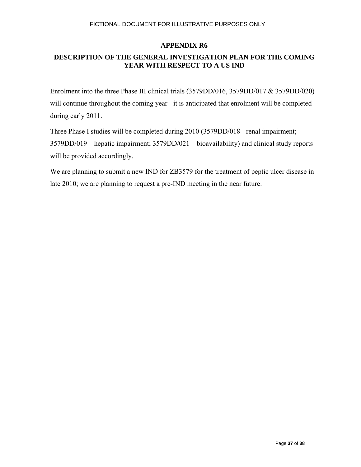# **DESCRIPTION OF THE GENERAL INVESTIGATION PLAN FOR THE COMING YEAR WITH RESPECT TO A US IND**

Enrolment into the three Phase III clinical trials (3579DD/016, 3579DD/017 & 3579DD/020) will continue throughout the coming year - it is anticipated that enrolment will be completed during early 2011.

Three Phase I studies will be completed during 2010 (3579DD/018 - renal impairment; 3579DD/019 – hepatic impairment; 3579DD/021 – bioavailability) and clinical study reports will be provided accordingly.

We are planning to submit a new IND for ZB3579 for the treatment of peptic ulcer disease in late 2010; we are planning to request a pre-IND meeting in the near future.